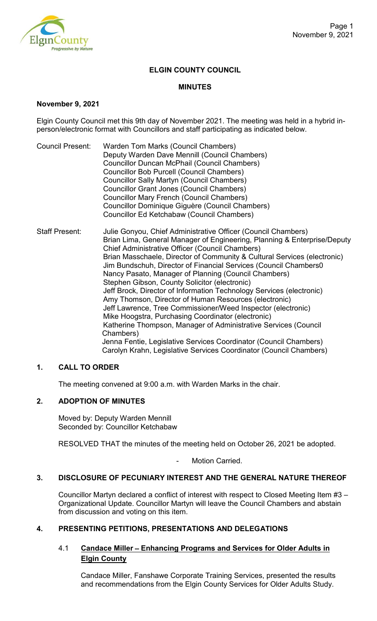

# **ELGIN COUNTY COUNCIL**

### **MINUTES**

### **November 9, 2021**

Elgin County Council met this 9th day of November 2021. The meeting was held in a hybrid inperson/electronic format with Councillors and staff participating as indicated below.

- Council Present: Warden Tom Marks (Council Chambers) Deputy Warden Dave Mennill (Council Chambers) Councillor Duncan McPhail (Council Chambers) Councillor Bob Purcell (Council Chambers) Councillor Sally Martyn (Council Chambers) Councillor Grant Jones (Council Chambers) Councillor Mary French (Council Chambers) Councillor Dominique Giguère (Council Chambers) Councillor Ed Ketchabaw (Council Chambers)
- Staff Present: Julie Gonyou, Chief Administrative Officer (Council Chambers) Brian Lima, General Manager of Engineering, Planning & Enterprise/Deputy Chief Administrative Officer (Council Chambers) Brian Masschaele, Director of Community & Cultural Services (electronic) Jim Bundschuh, Director of Financial Services (Council Chambers0 Nancy Pasato, Manager of Planning (Council Chambers) Stephen Gibson, County Solicitor (electronic) Jeff Brock, Director of Information Technology Services (electronic) Amy Thomson, Director of Human Resources (electronic) Jeff Lawrence, Tree Commissioner/Weed Inspector (electronic) Mike Hoogstra, Purchasing Coordinator (electronic) Katherine Thompson, Manager of Administrative Services (Council Chambers) Jenna Fentie, Legislative Services Coordinator (Council Chambers) Carolyn Krahn, Legislative Services Coordinator (Council Chambers)

## **1. CALL TO ORDER**

The meeting convened at 9:00 a.m. with Warden Marks in the chair.

## **2. ADOPTION OF MINUTES**

Moved by: Deputy Warden Mennill Seconded by: Councillor Ketchabaw

RESOLVED THAT the minutes of the meeting held on October 26, 2021 be adopted.

Motion Carried.

#### **3. DISCLOSURE OF PECUNIARY INTEREST AND THE GENERAL NATURE THEREOF**

Councillor Martyn declared a conflict of interest with respect to Closed Meeting Item #3 – Organizational Update. Councillor Martyn will leave the Council Chambers and abstain from discussion and voting on this item.

## **4. PRESENTING PETITIONS, PRESENTATIONS AND DELEGATIONS**

## 4.1 **Candace Miller** – **Enhancing Programs and Services for Older Adults in Elgin County**

Candace Miller, Fanshawe Corporate Training Services, presented the results and recommendations from the Elgin County Services for Older Adults Study.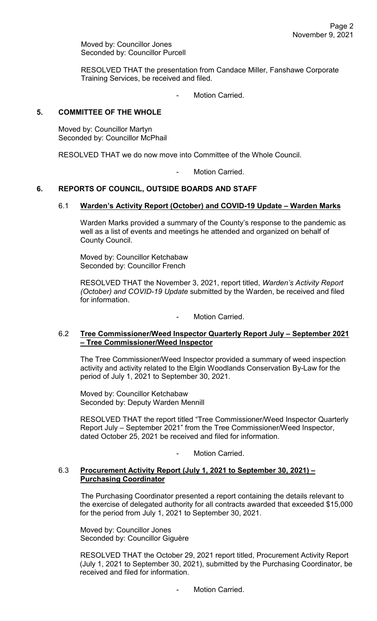Moved by: Councillor Jones Seconded by: Councillor Purcell

RESOLVED THAT the presentation from Candace Miller, Fanshawe Corporate Training Services, be received and filed.

Motion Carried.

### **5. COMMITTEE OF THE WHOLE**

Moved by: Councillor Martyn Seconded by: Councillor McPhail

RESOLVED THAT we do now move into Committee of the Whole Council.

Motion Carried.

# **6. REPORTS OF COUNCIL, OUTSIDE BOARDS AND STAFF**

## 6.1 **Warden's Activity Report (October) and COVID-19 Update – Warden Marks**

Warden Marks provided a summary of the County's response to the pandemic as well as a list of events and meetings he attended and organized on behalf of County Council.

Moved by: Councillor Ketchabaw Seconded by: Councillor French

RESOLVED THAT the November 3, 2021, report titled, *Warden's Activity Report (October) and COVID-19 Update* submitted by the Warden, be received and filed for information.

Motion Carried.

### 6.2 **Tree Commissioner/Weed Inspector Quarterly Report July – September 2021 – Tree Commissioner/Weed Inspector**

The Tree Commissioner/Weed Inspector provided a summary of weed inspection activity and activity related to the Elgin Woodlands Conservation By-Law for the period of July 1, 2021 to September 30, 2021.

Moved by: Councillor Ketchabaw Seconded by: Deputy Warden Mennill

RESOLVED THAT the report titled "Tree Commissioner/Weed Inspector Quarterly Report July – September 2021" from the Tree Commissioner/Weed Inspector, dated October 25, 2021 be received and filed for information.

Motion Carried.

#### 6.3 **Procurement Activity Report (July 1, 2021 to September 30, 2021) – Purchasing Coordinator**

The Purchasing Coordinator presented a report containing the details relevant to the exercise of delegated authority for all contracts awarded that exceeded \$15,000 for the period from July 1, 2021 to September 30, 2021.

Moved by: Councillor Jones Seconded by: Councillor Giguère

RESOLVED THAT the October 29, 2021 report titled, Procurement Activity Report (July 1, 2021 to September 30, 2021), submitted by the Purchasing Coordinator, be received and filed for information.

Motion Carried.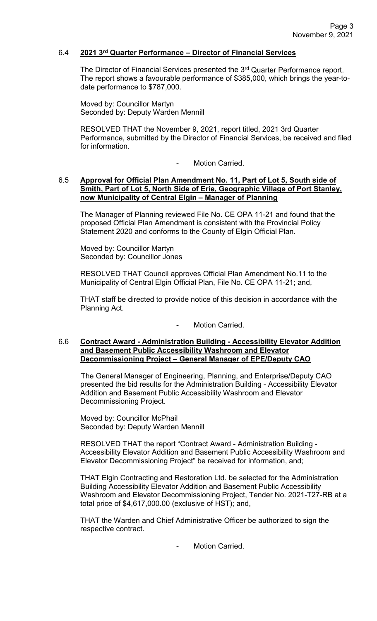### 6.4 **2021 3rd Quarter Performance – Director of Financial Services**

The Director of Financial Services presented the 3<sup>rd</sup> Quarter Performance report. The report shows a favourable performance of \$385,000, which brings the year-todate performance to \$787,000.

Moved by: Councillor Martyn Seconded by: Deputy Warden Mennill

RESOLVED THAT the November 9, 2021, report titled, 2021 3rd Quarter Performance, submitted by the Director of Financial Services, be received and filed for information.

Motion Carried.

### 6.5 **Approval for Official Plan Amendment No. 11, Part of Lot 5, South side of Smith, Part of Lot 5, North Side of Erie, Geographic Village of Port Stanley, now Municipality of Central Elgin – Manager of Planning**

The Manager of Planning reviewed File No. CE OPA 11-21 and found that the proposed Official Plan Amendment is consistent with the Provincial Policy Statement 2020 and conforms to the County of Elgin Official Plan.

Moved by: Councillor Martyn Seconded by: Councillor Jones

RESOLVED THAT Council approves Official Plan Amendment No.11 to the Municipality of Central Elgin Official Plan, File No. CE OPA 11-21; and,

THAT staff be directed to provide notice of this decision in accordance with the Planning Act.

Motion Carried.

#### 6.6 **Contract Award - Administration Building - Accessibility Elevator Addition and Basement Public Accessibility Washroom and Elevator Decommissioning Project – General Manager of EPE/Deputy CAO**

The General Manager of Engineering, Planning, and Enterprise/Deputy CAO presented the bid results for the Administration Building - Accessibility Elevator Addition and Basement Public Accessibility Washroom and Elevator Decommissioning Project.

Moved by: Councillor McPhail Seconded by: Deputy Warden Mennill

RESOLVED THAT the report "Contract Award - Administration Building - Accessibility Elevator Addition and Basement Public Accessibility Washroom and Elevator Decommissioning Project" be received for information, and;

THAT Elgin Contracting and Restoration Ltd. be selected for the Administration Building Accessibility Elevator Addition and Basement Public Accessibility Washroom and Elevator Decommissioning Project, Tender No. 2021-T27-RB at a total price of \$4,617,000.00 (exclusive of HST); and,

THAT the Warden and Chief Administrative Officer be authorized to sign the respective contract.

Motion Carried.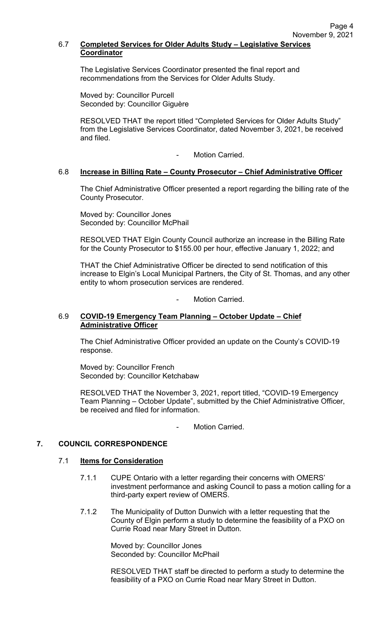## 6.7 **Completed Services for Older Adults Study – Legislative Services Coordinator**

The Legislative Services Coordinator presented the final report and recommendations from the Services for Older Adults Study.

Moved by: Councillor Purcell Seconded by: Councillor Giguère

RESOLVED THAT the report titled "Completed Services for Older Adults Study" from the Legislative Services Coordinator, dated November 3, 2021, be received and filed.

Motion Carried.

### 6.8 **Increase in Billing Rate – County Prosecutor – Chief Administrative Officer**

The Chief Administrative Officer presented a report regarding the billing rate of the County Prosecutor.

Moved by: Councillor Jones Seconded by: Councillor McPhail

RESOLVED THAT Elgin County Council authorize an increase in the Billing Rate for the County Prosecutor to \$155.00 per hour, effective January 1, 2022; and

THAT the Chief Administrative Officer be directed to send notification of this increase to Elgin's Local Municipal Partners, the City of St. Thomas, and any other entity to whom prosecution services are rendered.

#### Motion Carried.

#### 6.9 **COVID-19 Emergency Team Planning – October Update – Chief Administrative Officer**

The Chief Administrative Officer provided an update on the County's COVID-19 response.

Moved by: Councillor French Seconded by: Councillor Ketchabaw

RESOLVED THAT the November 3, 2021, report titled, "COVID-19 Emergency Team Planning – October Update", submitted by the Chief Administrative Officer, be received and filed for information.

Motion Carried.

#### **7. COUNCIL CORRESPONDENCE**

#### 7.1 **Items for Consideration**

- 7.1.1 CUPE Ontario with a letter regarding their concerns with OMERS' investment performance and asking Council to pass a motion calling for a third-party expert review of OMERS.
- 7.1.2 The Municipality of Dutton Dunwich with a letter requesting that the County of Elgin perform a study to determine the feasibility of a PXO on Currie Road near Mary Street in Dutton.

Moved by: Councillor Jones Seconded by: Councillor McPhail

RESOLVED THAT staff be directed to perform a study to determine the feasibility of a PXO on Currie Road near Mary Street in Dutton.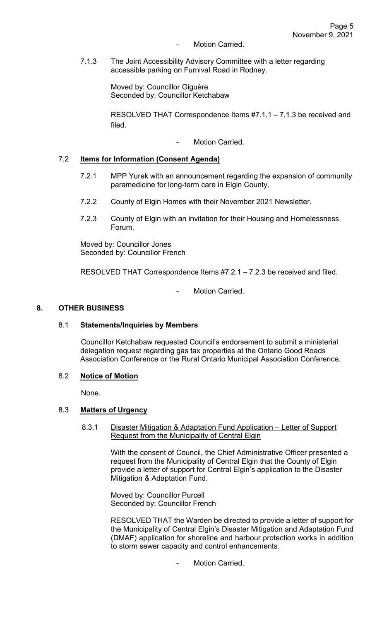- Motion Carried.
- 7.1.3 The Joint Accessibility Advisory Committee with a letter regarding accessible parking on Furnival Road in Rodney.

Moved by: Councillor Giguère Seconded by: Councillor Ketchabaw

RESOLVED THAT Correspondence Items #7.1.1 – 7.1.3 be received and filed.

Motion Carried.

### 7.2 **Items for Information (Consent Agenda)**

- 7.2.1 MPP Yurek with an announcement regarding the expansion of community paramedicine for long-term care in Elgin County.
- 7.2.2 County of Elgin Homes with their November 2021 Newsletter.
- 7.2.3 County of Elgin with an invitation for their Housing and Homelessness Forum.

Moved by: Councillor Jones Seconded by: Councillor French

RESOLVED THAT Correspondence Items #7.2.1 – 7.2.3 be received and filed.

Motion Carried.

### **8. OTHER BUSINESS**

#### 8.1 **Statements/Inquiries by Members**

Councillor Ketchabaw requested Council's endorsement to submit a ministerial delegation request regarding gas tax properties at the Ontario Good Roads Association Conference or the Rural Ontario Municipal Association Conference.

#### 8.2 **Notice of Motion**

None.

#### 8.3 **Matters of Urgency**

 8.3.1 Disaster Mitigation & Adaptation Fund Application – Letter of Support Request from the Municipality of Central Elgin

> With the consent of Council, the Chief Administrative Officer presented a request from the Municipality of Central Elgin that the County of Elgin provide a letter of support for Central Elgin's application to the Disaster Mitigation & Adaptation Fund.

Moved by: Councillor Purcell Seconded by: Councillor French

RESOLVED THAT the Warden be directed to provide a letter of support for the Municipality of Central Elgin's Disaster Mitigation and Adaptation Fund (DMAF) application for shoreline and harbour protection works in addition to storm sewer capacity and control enhancements.

Motion Carried.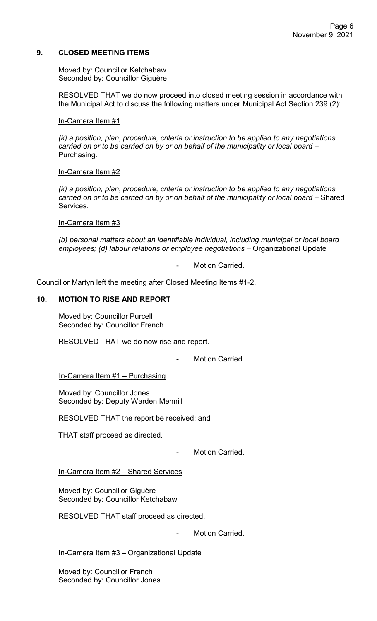## **9. CLOSED MEETING ITEMS**

Moved by: Councillor Ketchabaw Seconded by: Councillor Giguère

RESOLVED THAT we do now proceed into closed meeting session in accordance with the Municipal Act to discuss the following matters under Municipal Act Section 239 (2):

#### In-Camera Item #1

*(k) a position, plan, procedure, criteria or instruction to be applied to any negotiations carried on or to be carried on by or on behalf of the municipality or local board* – Purchasing.

### In-Camera Item #2

*(k) a position, plan, procedure, criteria or instruction to be applied to any negotiations carried on or to be carried on by or on behalf of the municipality or local board* – Shared Services.

### In-Camera Item #3

*(b) personal matters about an identifiable individual, including municipal or local board employees; (d) labour relations or employee negotiations* – Organizational Update

Motion Carried.

Councillor Martyn left the meeting after Closed Meeting Items #1-2.

# **10. MOTION TO RISE AND REPORT**

Moved by: Councillor Purcell Seconded by: Councillor French

RESOLVED THAT we do now rise and report.

Motion Carried.

In-Camera Item #1 – Purchasing

Moved by: Councillor Jones Seconded by: Deputy Warden Mennill

RESOLVED THAT the report be received; and

THAT staff proceed as directed.

- Motion Carried.

In-Camera Item #2 – Shared Services

Moved by: Councillor Giguère Seconded by: Councillor Ketchabaw

RESOLVED THAT staff proceed as directed.

Motion Carried.

In-Camera Item #3 – Organizational Update

Moved by: Councillor French Seconded by: Councillor Jones